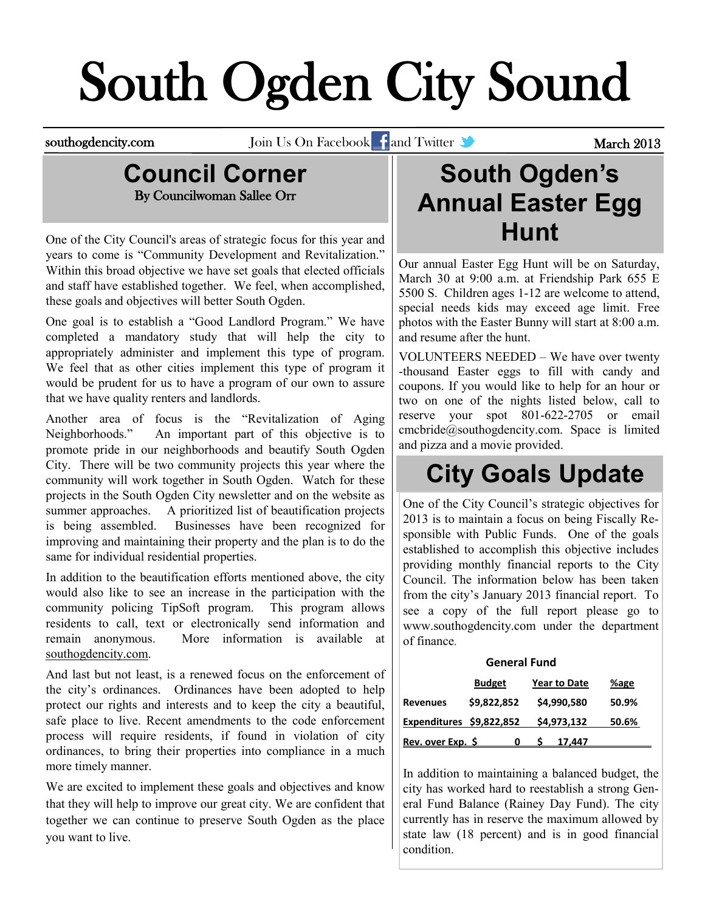# South Ogden City Sound

southogdencity.com Join Us On Facebook and Twitter **Communist Section 2013** 

#### **Council Corner** By Councilwoman Sallee Orr

One of the City Council's areas of strategic focus for this year and years to come is "Community Development and Revitalization." Within this broad objective we have set goals that elected officials and staff have established together. We feel, when accomplished, these goals and objectives will better South Ogden.

One goal is to establish a "Good Landlord Program." We have completed a mandatory study that will help the city to appropriately administer and implement this type of program. We feel that as other cities implement this type of program it would be prudent for us to have a program of our own to assure that we have quality renters and landlords.

Another area of focus is the "Revitalization of Aging Neighborhoods." An important part of this objective is to promote pride in our neighborhoods and beautify South Ogden City. There will be two community projects this year where the community will work together in South Ogden. Watch for these projects in the South Ogden City newsletter and on the website as summer approaches. A prioritized list of beautification projects is being assembled. Businesses have been recognized for improving and maintaining their property and the plan is to do the same for individual residential properties.

In addition to the beautification efforts mentioned above, the city would also like to see an increase in the participation with the community policing TipSoft program. This program allows residents to call, text or electronically send information and remain anonymous. More information is available at southogdencity.com.

And last but not least, is a renewed focus on the enforcement of the city's ordinances. Ordinances have been adopted to help protect our rights and interests and to keep the city a beautiful, safe place to live. Recent amendments to the code enforcement process will require residents, if found in violation of city ordinances, to bring their properties into compliance in a much more timely manner.

We are excited to implement these goals and objectives and know that they will help to improve our great city. We are confident that together we can continue to preserve South Ogden as the place you want to live.

### **South Ogden's Annual Easter Egg Hunt**

Our annual Easter Egg Hunt will be on Saturday, March 30 at 9:00 a.m. at Friendship Park 655 E 5500 S. Children ages 1-12 are welcome to attend, special needs kids may exceed age limit. Free photos with the Easter Bunny will start at 8:00 a.m. and resume after the hunt.

VOLUNTEERS NEEDED – We have over twenty -thousand Easter eggs to fill with candy and coupons. If you would like to help for an hour or two on one of the nights listed below, call to reserve your spot 801-622-2705 or email [cmcbride@southogdencity.com.](mailto:cmcbride@southogdencity.com) Space is limited and pizza and a movie provided.

# **City Goals Update**

One of the City Council's strategic objectives for 2013 is to maintain a focus on being Fiscally Responsible with Public Funds. One of the goals established to accomplish this objective includes providing monthly financial reports to the City Council. The information below has been taken from the city's January 2013 financial report. To see a copy of the full report please go to www.southogdencity.com under the department of finance.

#### **General Fund**

|                          | <b>Budget</b> | <b>Year to Date</b> | %age  |
|--------------------------|---------------|---------------------|-------|
| <b>Revenues</b>          | \$9,822,852   | \$4,990,580         | 50.9% |
| Expenditures \$9,822,852 |               | \$4,973,132         | 50.6% |
| Rev. over Exp. \$        |               | 17.447              |       |

In addition to maintaining a balanced budget, the city has worked hard to reestablish a strong General Fund Balance (Rainey Day Fund). The city currently has in reserve the maximum allowed by state law (18 percent) and is in good financial condition.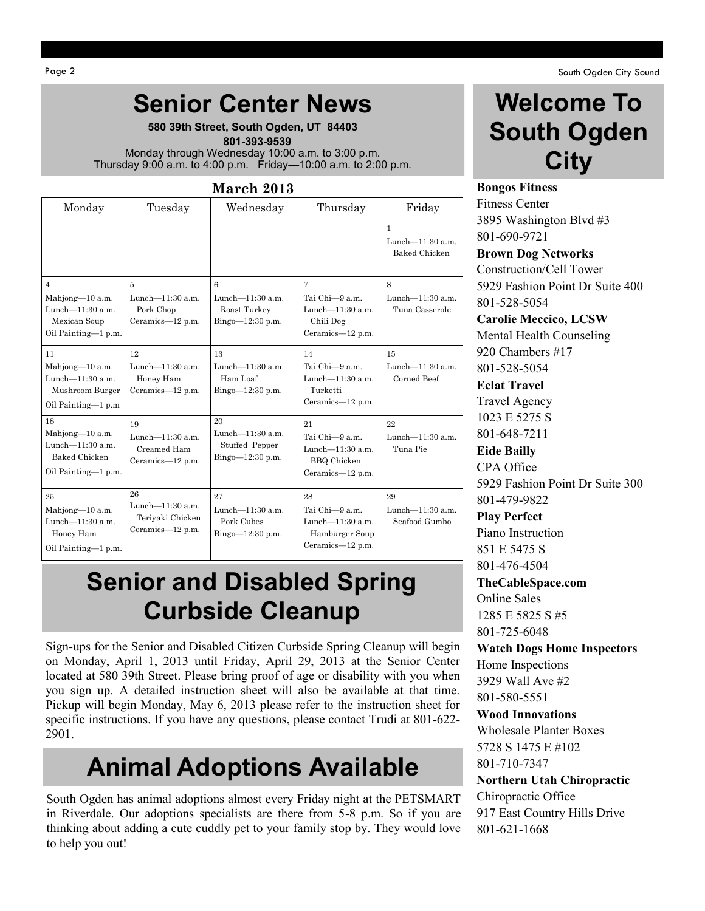#### **Senior Center News**

**580 39th Street, South Ogden, UT 84403**  **801-393-9539** Monday through Wednesday 10:00 a.m. to 3:00 p.m. Thursday 9:00 a.m. to 4:00 p.m. Friday—10:00 a.m. to 2:00 p.m.

| March 2013                                                                                      |                                                                        |                                                                    |                                                                                          |                                                          |  |  |
|-------------------------------------------------------------------------------------------------|------------------------------------------------------------------------|--------------------------------------------------------------------|------------------------------------------------------------------------------------------|----------------------------------------------------------|--|--|
| Monday                                                                                          | Tuesday                                                                | Wednesday                                                          | Thursday                                                                                 | Friday                                                   |  |  |
|                                                                                                 |                                                                        |                                                                    |                                                                                          | $\mathbf{1}$<br>Lunch-11:30 a.m.<br><b>Baked Chicken</b> |  |  |
| $\overline{4}$<br>Mahjong-10 a.m.<br>Lunch- $11:30$ a.m.<br>Mexican Soup<br>Oil Painting-1 p.m. | $\overline{5}$<br>Lunch $-11:30$ a.m.<br>Pork Chop<br>Ceramics-12 p.m. | 6<br>Lunch-11:30 a.m.<br>Roast Turkey<br>Bingo-12:30 p.m.          | $\overline{7}$<br>Tai Chi-9 a.m.<br>Lunch- $11:30$ a.m.<br>Chili Dog<br>Ceramics-12 p.m. | 8<br>Lunch-11:30 a.m.<br>Tuna Casserole                  |  |  |
| 11<br>Mahjong-10 a.m.<br>Lunch-11:30 a.m.<br>Mushroom Burger<br>Oil Painting-1 p.m              | 12<br>Lunch- $11:30$ a.m.<br>Honey Ham<br>Ceramics-12 p.m.             | 13<br>Lunch- $11:30$ a.m.<br>Ham Loaf<br>Bingo-12:30 p.m.          | 14<br>Tai Chi-9 a.m.<br>Lunch-11:30 a.m.<br>Turketti<br>Ceramics-12 p.m.                 | 15<br>Lunch- $11:30$ a.m.<br>Corned Beef                 |  |  |
| 18<br>Mahjong-10 a.m.<br>Lunch- $11:30$ a.m.<br><b>Baked Chicken</b><br>Oil Painting-1 p.m.     | 19<br>Lunch- $11:30$ a.m.<br>Creamed Ham<br>Ceramics-12 p.m.           | 20<br>Lunch- $11:30$ a.m.<br>Stuffed Pepper<br>Bingo $-12:30$ p.m. | 21<br>Tai Chi-9 a.m.<br>Lunch-11:30 a.m.<br><b>BBQ</b> Chicken<br>Ceramics-12 p.m.       | 22<br>Lunch- $11:30$ a.m.<br>Tuna Pie                    |  |  |
| 25<br>Mahjong-10 a.m.<br>Lunch- $11:30$ a.m.<br>Honey Ham<br>Oil Painting-1 p.m.                | 26<br>Lunch-11:30 a.m.<br>Teriyaki Chicken<br>Ceramics-12 p.m.         | 27<br>Lunch- $11:30$ a.m.<br>Pork Cubes<br>Bingo-12:30 p.m.        | 28<br>Tai Chi-9 a.m.<br>Lunch-11:30 a.m.<br>Hamburger Soup<br>Ceramics-12 p.m.           | 29<br>Lunch-11:30 a.m.<br>Seafood Gumbo                  |  |  |

#### **Senior and Disabled Spring Curbside Cleanup**

Sign-ups for the Senior and Disabled Citizen Curbside Spring Cleanup will begin on Monday, April 1, 2013 until Friday, April 29, 2013 at the Senior Center located at 580 39th Street. Please bring proof of age or disability with you when you sign up. A detailed instruction sheet will also be available at that time. Pickup will begin Monday, May 6, 2013 please refer to the instruction sheet for specific instructions. If you have any questions, please contact Trudi at 801-622- 2901.

# **Animal Adoptions Available**

South Ogden has animal adoptions almost every Friday night at the PETSMART in Riverdale. Our adoptions specialists are there from 5-8 p.m. So if you are thinking about adding a cute cuddly pet to your family stop by. They would love to help you out!

#### **Welcome To South Ogden City**

**Bongos Fitness** Fitness Center 3895 Washington Blvd #3 801-690-9721

**Brown Dog Networks** Construction/Cell Tower 5929 Fashion Point Dr Suite 400 801-528-5054

**Carolie Meccico, LCSW** Mental Health Counseling 920 Chambers #17 801-528-5054 **Eclat Travel**

Travel Agency 1023 E 5275 S 801-648-7211

**Eide Bailly** CPA Office 5929 Fashion Point Dr Suite 300 801-479-9822

**Play Perfect** Piano Instruction 851 E 5475 S 801-476-4504

#### **TheCableSpace.com**

Online Sales 1285 E 5825 S #5 801-725-6048

**Watch Dogs Home Inspectors** Home Inspections 3929 Wall Ave #2 801-580-5551

#### **Wood Innovations**

Wholesale Planter Boxes 5728 S 1475 E #102 801-710-7347

#### **Northern Utah Chiropractic**

Chiropractic Office 917 East Country Hills Drive 801-621-1668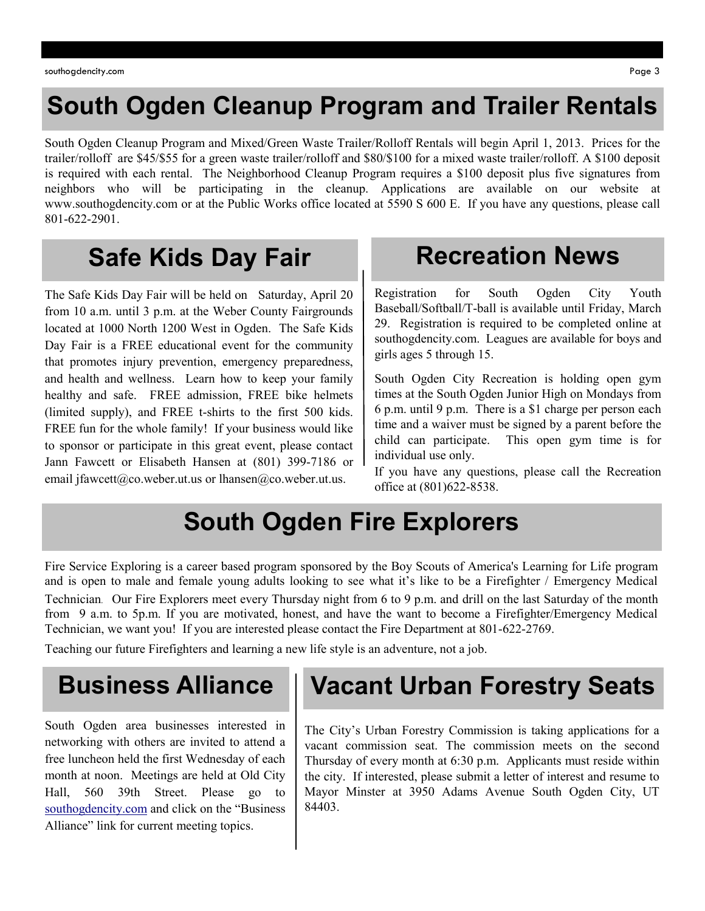## **South Ogden Cleanup Program and Trailer Rentals**

South Ogden Cleanup Program and Mixed/Green Waste Trailer/Rolloff Rentals will begin April 1, 2013. Prices for the trailer/rolloff are \$45/\$55 for a green waste trailer/rolloff and \$80/\$100 for a mixed waste trailer/rolloff. A \$100 deposit is required with each rental. The Neighborhood Cleanup Program requires a \$100 deposit plus five signatures from neighbors who will be participating in the cleanup. Applications are available on our website at www.southogdencity.com or at the Public Works office located at 5590 S 600 E. If you have any questions, please call 801-622-2901.

# **Safe Kids Day Fair**

The Safe Kids Day Fair will be held on Saturday, April 20 from 10 a.m. until 3 p.m. at the Weber County Fairgrounds located at 1000 North 1200 West in Ogden. The Safe Kids Day Fair is a FREE educational event for the community that promotes injury prevention, emergency preparedness, and health and wellness. Learn how to keep your family healthy and safe. FREE admission, FREE bike helmets (limited supply), and FREE t-shirts to the first 500 kids. FREE fun for the whole family! If your business would like to sponsor or participate in this great event, please contact Jann Fawcett or Elisabeth Hansen at (801) 399-7186 or email [jfawcett@co.weber.ut.us](mailto:jfawcett@co.weber.ut.us) or [lhansen@co.weber.ut.us.](mailto:lhansen@co.weber.ut.us)

#### **Recreation News**

Registration for South Ogden City Youth Baseball/Softball/T-ball is available until Friday, March 29. Registration is required to be completed online at southogdencity.com. Leagues are available for boys and girls ages 5 through 15.

South Ogden City Recreation is holding open gym times at the South Ogden Junior High on Mondays from 6 p.m. until 9 p.m. There is a \$1 charge per person each time and a waiver must be signed by a parent before the child can participate. This open gym time is for individual use only.

If you have any questions, please call the Recreation office at (801)622-8538.

## **South Ogden Fire Explorers**

Fire Service Exploring is a career based program sponsored by the Boy Scouts of America's Learning for Life program and is open to male and female young adults looking to see what it's like to be a Firefighter / Emergency Medical Technician. Our Fire Explorers meet every Thursday night from 6 to 9 p.m. and drill on the last Saturday of the month from 9 a.m. to 5p.m. If you are motivated, honest, and have the want to become a Firefighter/Emergency Medical Technician, we want you! If you are interested please contact the Fire Department at 801-622-2769.

Teaching our future Firefighters and learning a new life style is an adventure, not a job.

### **Business Alliance**

South Ogden area businesses interested in networking with others are invited to attend a free luncheon held the first Wednesday of each month at noon. Meetings are held at Old City Hall, 560 39th Street. Please go to [southogdencity.com](http://www.southogdencity.com/) and click on the "Business" Alliance" link for current meeting topics.

## **Vacant Urban Forestry Seats**

The City's Urban Forestry Commission is taking applications for a vacant commission seat. The commission meets on the second Thursday of every month at 6:30 p.m. Applicants must reside within the city. If interested, please submit a letter of interest and resume to Mayor Minster at 3950 Adams Avenue South Ogden City, UT 84403.